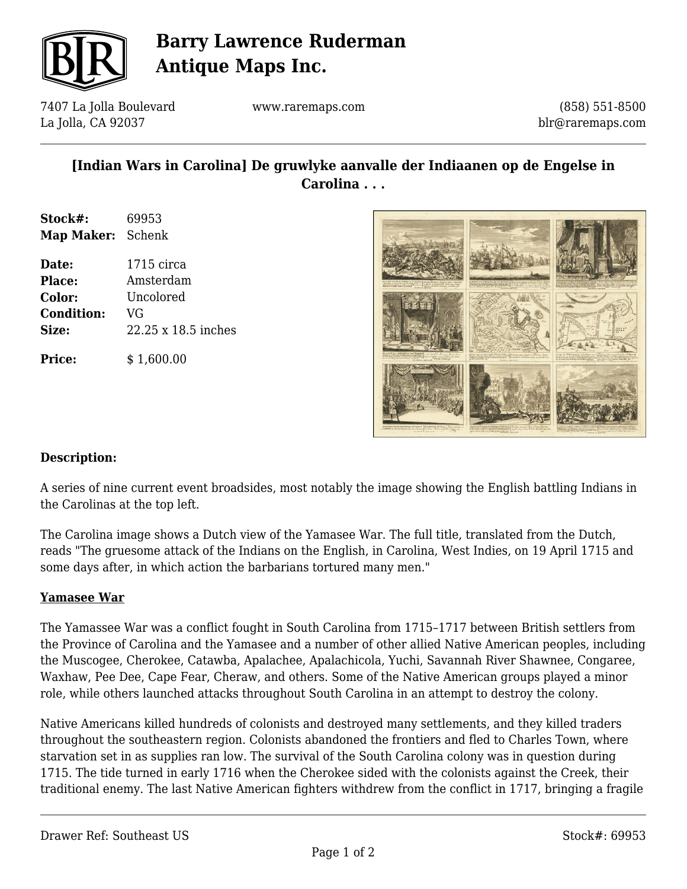

## **Barry Lawrence Ruderman Antique Maps Inc.**

7407 La Jolla Boulevard La Jolla, CA 92037

www.raremaps.com

(858) 551-8500 blr@raremaps.com

## **[Indian Wars in Carolina] De gruwlyke aanvalle der Indiaanen op de Engelse in Carolina . . .**

**Stock#:** 69953 **Map Maker:** Schenk

**Price:**  $$ 1,600.00$ 

**Date:** 1715 circa **Place:** Amsterdam **Color:** Uncolored **Condition:** VG **Size:** 22.25 x 18.5 inches

### **Description:**

A series of nine current event broadsides, most notably the image showing the English battling Indians in the Carolinas at the top left.

The Carolina image shows a Dutch view of the Yamasee War. The full title, translated from the Dutch, reads "The gruesome attack of the Indians on the English, in Carolina, West Indies, on 19 April 1715 and some days after, in which action the barbarians tortured many men."

#### **Yamasee War**

The Yamassee War was a conflict fought in South Carolina from 1715–1717 between British settlers from the Province of Carolina and the Yamasee and a number of other allied Native American peoples, including the Muscogee, Cherokee, Catawba, Apalachee, Apalachicola, Yuchi, Savannah River Shawnee, Congaree, Waxhaw, Pee Dee, Cape Fear, Cheraw, and others. Some of the Native American groups played a minor role, while others launched attacks throughout South Carolina in an attempt to destroy the colony.

Native Americans killed hundreds of colonists and destroyed many settlements, and they killed traders throughout the southeastern region. Colonists abandoned the frontiers and fled to Charles Town, where starvation set in as supplies ran low. The survival of the South Carolina colony was in question during 1715. The tide turned in early 1716 when the Cherokee sided with the colonists against the Creek, their traditional enemy. The last Native American fighters withdrew from the conflict in 1717, bringing a fragile